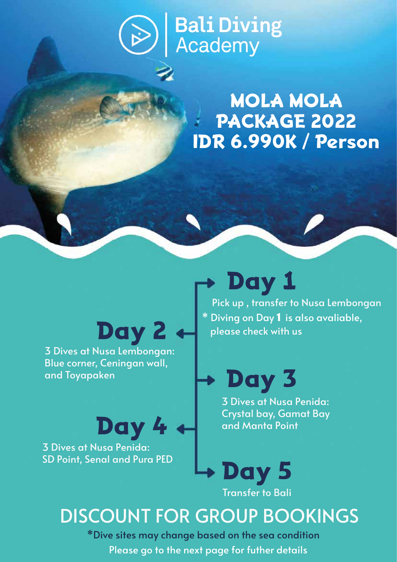# **Bali Diving<br>Academy**

#### MOLA MOLA PACKAGE 2022 IDR 6.990K / Person

# Day 2

3 Dives at Nusa Lembongan: Blue corner, Ceningan wall, and Toyapaken

Day 4 3 Dives at Nusa Penida: SD Point, Senal and Pura PED

## Day 1

Pick up , transfer to Nusa Lembongan \* Diving on Day 1 is also avaliable, please check with us

Day 3

3 Dives at Nusa Penida: Crystal bay, Gamat Bay and Manta Point



### DISCOUNT FOR GROUP BOOKINGS

\*Dive sites may change based on the sea condition Please go to the next page for futher details